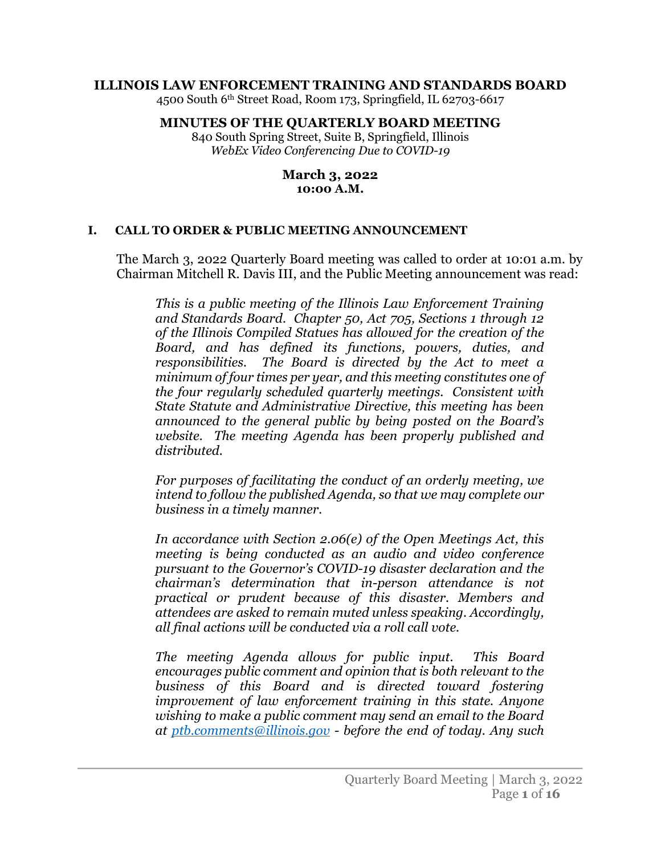#### **ILLINOIS LAW ENFORCEMENT TRAINING AND STANDARDS BOARD**

4500 South 6th Street Road, Room 173, Springfield, IL 62703-6617

#### **MINUTES OF THE QUARTERLY BOARD MEETING**

840 South Spring Street, Suite B, Springfield, Illinois *WebEx Video Conferencing Due to COVID-19*

#### **March 3, 2022 10:00 A.M.**

#### **I. CALL TO ORDER & PUBLIC MEETING ANNOUNCEMENT**

The March 3, 2022 Quarterly Board meeting was called to order at 10:01 a.m. by Chairman Mitchell R. Davis III, and the Public Meeting announcement was read:

*This is a public meeting of the Illinois Law Enforcement Training and Standards Board. Chapter 50, Act 705, Sections 1 through 12 of the Illinois Compiled Statues has allowed for the creation of the Board, and has defined its functions, powers, duties, and responsibilities. The Board is directed by the Act to meet a minimum of four times per year, and this meeting constitutes one of the four regularly scheduled quarterly meetings. Consistent with State Statute and Administrative Directive, this meeting has been announced to the general public by being posted on the Board's website. The meeting Agenda has been properly published and distributed.*

*For purposes of facilitating the conduct of an orderly meeting, we intend to follow the published Agenda, so that we may complete our business in a timely manner.*

*In accordance with Section 2.06(e) of the Open Meetings Act, this meeting is being conducted as an audio and video conference pursuant to the Governor's COVID-19 disaster declaration and the chairman's determination that in-person attendance is not practical or prudent because of this disaster. Members and attendees are asked to remain muted unless speaking. Accordingly, all final actions will be conducted via a roll call vote.* 

*The meeting Agenda allows for public input. This Board encourages public comment and opinion that is both relevant to the business of this Board and is directed toward fostering improvement of law enforcement training in this state. Anyone wishing to make a public comment may send an email to the Board at [ptb.comments@illinois.gov](mailto:ptb.comments@illinois.gov) - before the end of today. Any such*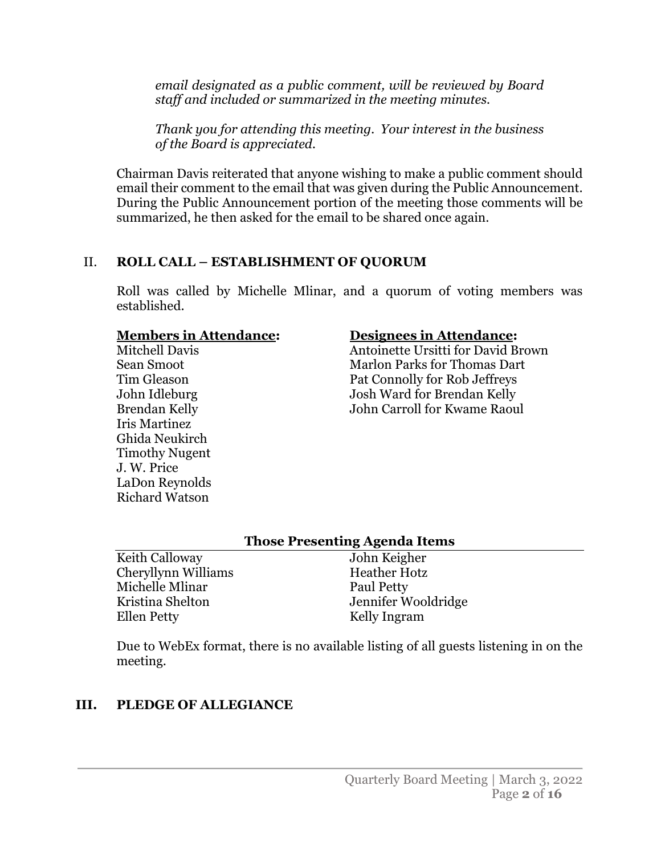*email designated as a public comment, will be reviewed by Board staff and included or summarized in the meeting minutes.* 

*Thank you for attending this meeting. Your interest in the business of the Board is appreciated.*

Chairman Davis reiterated that anyone wishing to make a public comment should email their comment to the email that was given during the Public Announcement. During the Public Announcement portion of the meeting those comments will be summarized, he then asked for the email to be shared once again.

## II. **ROLL CALL – ESTABLISHMENT OF QUORUM**

Roll was called by Michelle Mlinar, and a quorum of voting members was established.

#### **Members in Attendance:**

Mitchell Davis Sean Smoot Tim Gleason John Idleburg Brendan Kelly Iris Martinez Ghida Neukirch Timothy Nugent J. W. Price LaDon Reynolds Richard Watson

#### **Designees in Attendance:**

Antoinette Ursitti for David Brown Marlon Parks for Thomas Dart Pat Connolly for Rob Jeffreys Josh Ward for Brendan Kelly John Carroll for Kwame Raoul

#### **Those Presenting Agenda Items**

Keith Calloway Cheryllynn Williams Michelle Mlinar Kristina Shelton Ellen Petty

John Keigher Heather Hotz Paul Petty Jennifer Wooldridge Kelly Ingram

Due to WebEx format, there is no available listing of all guests listening in on the meeting.

## **III. PLEDGE OF ALLEGIANCE**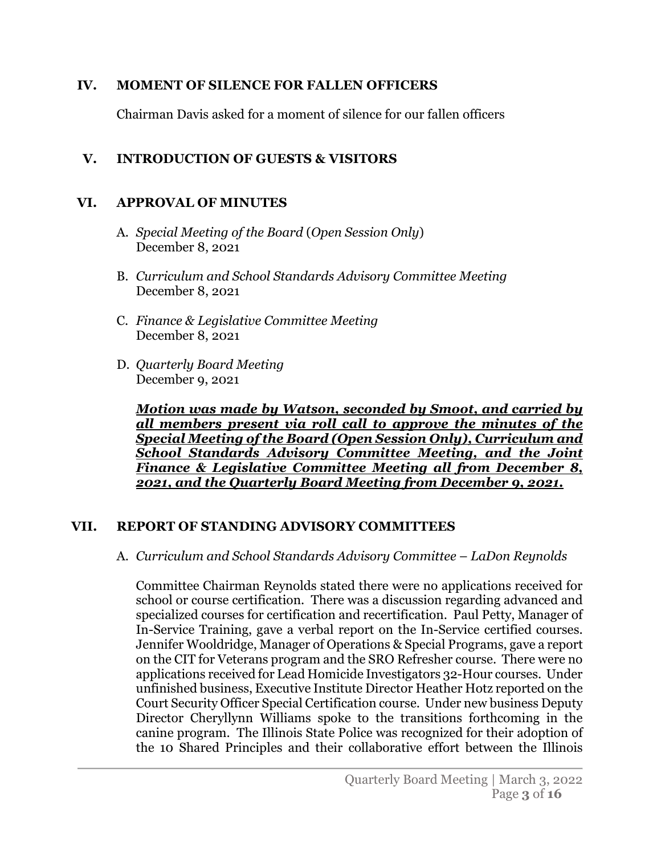#### **IV. MOMENT OF SILENCE FOR FALLEN OFFICERS**

Chairman Davis asked for a moment of silence for our fallen officers

## **V. INTRODUCTION OF GUESTS & VISITORS**

#### **VI. APPROVAL OF MINUTES**

- A. *Special Meeting of the Board* (*Open Session Only*) December 8, 2021
- B. *Curriculum and School Standards Advisory Committee Meeting* December 8, 2021
- C. *Finance & Legislative Committee Meeting* December 8, 2021
- D. *Quarterly Board Meeting* December 9, 2021

*Motion was made by Watson, seconded by Smoot, and carried by all members present via roll call to approve the minutes of the Special Meeting of the Board (Open Session Only), Curriculum and School Standards Advisory Committee Meeting, and the Joint Finance & Legislative Committee Meeting all from December 8, 2021, and the Quarterly Board Meeting from December 9, 2021.* 

#### **VII. REPORT OF STANDING ADVISORY COMMITTEES**

#### A. *Curriculum and School Standards Advisory Committee* – *LaDon Reynolds*

Committee Chairman Reynolds stated there were no applications received for school or course certification. There was a discussion regarding advanced and specialized courses for certification and recertification. Paul Petty, Manager of In-Service Training, gave a verbal report on the In-Service certified courses. Jennifer Wooldridge, Manager of Operations & Special Programs, gave a report on the CIT for Veterans program and the SRO Refresher course. There were no applications received for Lead Homicide Investigators 32-Hour courses. Under unfinished business, Executive Institute Director Heather Hotz reported on the Court Security Officer Special Certification course. Under new business Deputy Director Cheryllynn Williams spoke to the transitions forthcoming in the canine program. The Illinois State Police was recognized for their adoption of the 10 Shared Principles and their collaborative effort between the Illinois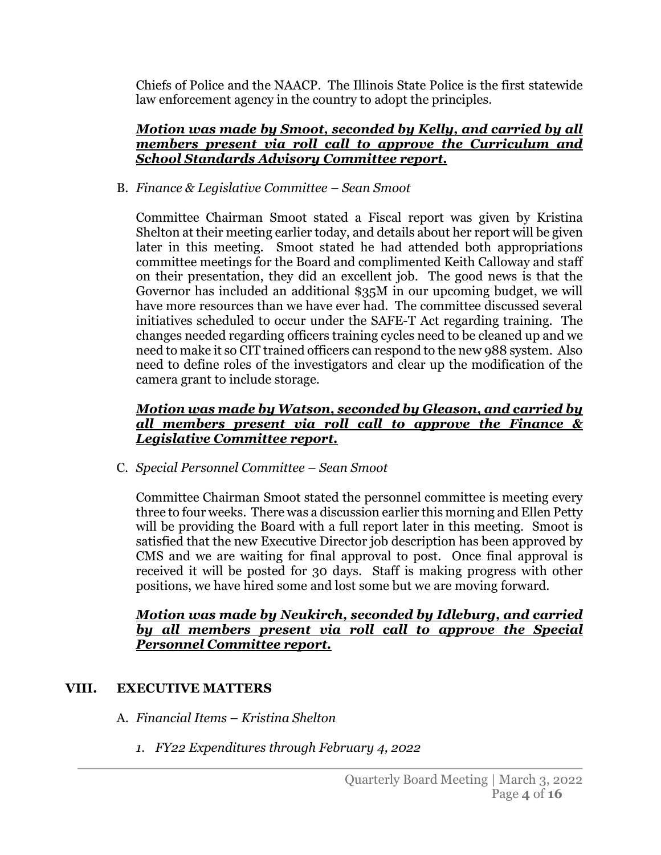Chiefs of Police and the NAACP. The Illinois State Police is the first statewide law enforcement agency in the country to adopt the principles.

#### *Motion was made by Smoot, seconded by Kelly, and carried by all members present via roll call to approve the Curriculum and School Standards Advisory Committee report.*

B. *Finance & Legislative Committee – Sean Smoot*

Committee Chairman Smoot stated a Fiscal report was given by Kristina Shelton at their meeting earlier today, and details about her report will be given later in this meeting. Smoot stated he had attended both appropriations committee meetings for the Board and complimented Keith Calloway and staff on their presentation, they did an excellent job. The good news is that the Governor has included an additional \$35M in our upcoming budget, we will have more resources than we have ever had. The committee discussed several initiatives scheduled to occur under the SAFE-T Act regarding training. The changes needed regarding officers training cycles need to be cleaned up and we need to make it so CIT trained officers can respond to the new 988 system. Also need to define roles of the investigators and clear up the modification of the camera grant to include storage.

#### *Motion was made by Watson, seconded by Gleason, and carried by all members present via roll call to approve the Finance & Legislative Committee report.*

C. *Special Personnel Committee – Sean Smoot*

Committee Chairman Smoot stated the personnel committee is meeting every three to four weeks. There was a discussion earlier this morning and Ellen Petty will be providing the Board with a full report later in this meeting. Smoot is satisfied that the new Executive Director job description has been approved by CMS and we are waiting for final approval to post. Once final approval is received it will be posted for 30 days. Staff is making progress with other positions, we have hired some and lost some but we are moving forward.

#### *Motion was made by Neukirch, seconded by Idleburg, and carried by all members present via roll call to approve the Special Personnel Committee report.*

# **VIII. EXECUTIVE MATTERS**

- A. *Financial Items Kristina Shelton*
	- *1. FY22 Expenditures through February 4, 2022*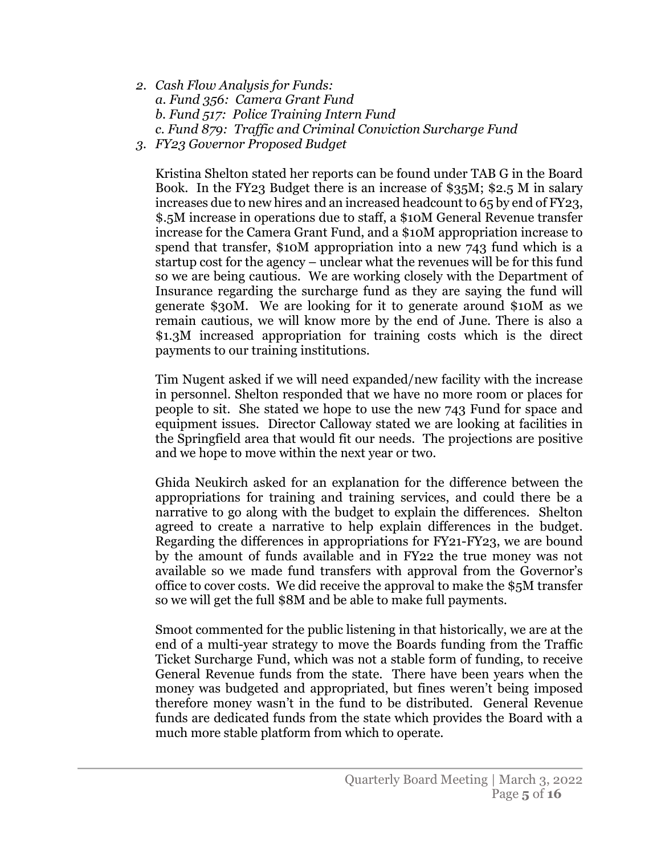- *2. Cash Flow Analysis for Funds: a. Fund 356: Camera Grant Fund b. Fund 517: Police Training Intern Fund c. Fund 879: Traffic and Criminal Conviction Surcharge Fund*
- *3. FY23 Governor Proposed Budget*

Kristina Shelton stated her reports can be found under TAB G in the Board Book. In the FY23 Budget there is an increase of \$35M; \$2.5 M in salary increases due to new hires and an increased headcount to 65 by end of FY23, \$.5M increase in operations due to staff, a \$10M General Revenue transfer increase for the Camera Grant Fund, and a \$10M appropriation increase to spend that transfer, \$10M appropriation into a new 743 fund which is a startup cost for the agency – unclear what the revenues will be for this fund so we are being cautious. We are working closely with the Department of Insurance regarding the surcharge fund as they are saying the fund will generate \$30M. We are looking for it to generate around \$10M as we remain cautious, we will know more by the end of June. There is also a \$1.3M increased appropriation for training costs which is the direct payments to our training institutions.

Tim Nugent asked if we will need expanded/new facility with the increase in personnel. Shelton responded that we have no more room or places for people to sit. She stated we hope to use the new 743 Fund for space and equipment issues. Director Calloway stated we are looking at facilities in the Springfield area that would fit our needs. The projections are positive and we hope to move within the next year or two.

Ghida Neukirch asked for an explanation for the difference between the appropriations for training and training services, and could there be a narrative to go along with the budget to explain the differences. Shelton agreed to create a narrative to help explain differences in the budget. Regarding the differences in appropriations for FY21-FY23, we are bound by the amount of funds available and in FY22 the true money was not available so we made fund transfers with approval from the Governor's office to cover costs. We did receive the approval to make the \$5M transfer so we will get the full \$8M and be able to make full payments.

Smoot commented for the public listening in that historically, we are at the end of a multi-year strategy to move the Boards funding from the Traffic Ticket Surcharge Fund, which was not a stable form of funding, to receive General Revenue funds from the state. There have been years when the money was budgeted and appropriated, but fines weren't being imposed therefore money wasn't in the fund to be distributed. General Revenue funds are dedicated funds from the state which provides the Board with a much more stable platform from which to operate.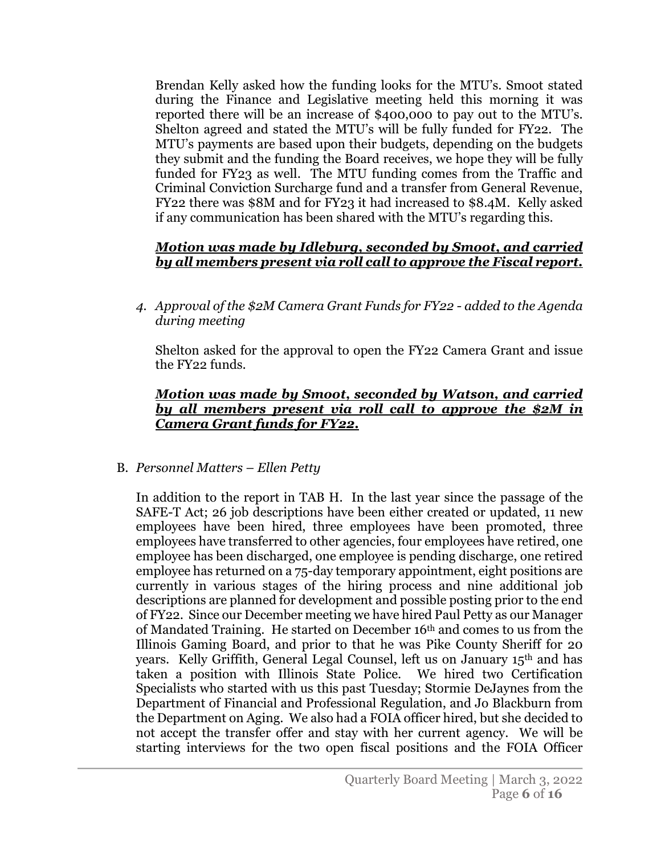Brendan Kelly asked how the funding looks for the MTU's. Smoot stated during the Finance and Legislative meeting held this morning it was reported there will be an increase of \$400,000 to pay out to the MTU's. Shelton agreed and stated the MTU's will be fully funded for FY22. The MTU's payments are based upon their budgets, depending on the budgets they submit and the funding the Board receives, we hope they will be fully funded for FY23 as well. The MTU funding comes from the Traffic and Criminal Conviction Surcharge fund and a transfer from General Revenue, FY22 there was \$8M and for FY23 it had increased to \$8.4M. Kelly asked if any communication has been shared with the MTU's regarding this.

## *Motion was made by Idleburg, seconded by Smoot, and carried by all members present via roll call to approve the Fiscal report.*

*4. Approval of the \$2M Camera Grant Funds for FY22 - added to the Agenda during meeting*

Shelton asked for the approval to open the FY22 Camera Grant and issue the FY22 funds.

#### *Motion was made by Smoot, seconded by Watson, and carried by all members present via roll call to approve the \$2M in Camera Grant funds for FY22.*

#### B. *Personnel Matters* – *Ellen Petty*

In addition to the report in TAB H. In the last year since the passage of the SAFE-T Act; 26 job descriptions have been either created or updated, 11 new employees have been hired, three employees have been promoted, three employees have transferred to other agencies, four employees have retired, one employee has been discharged, one employee is pending discharge, one retired employee has returned on a 75-day temporary appointment, eight positions are currently in various stages of the hiring process and nine additional job descriptions are planned for development and possible posting prior to the end of FY22. Since our December meeting we have hired Paul Petty as our Manager of Mandated Training. He started on December 16th and comes to us from the Illinois Gaming Board, and prior to that he was Pike County Sheriff for 20 years. Kelly Griffith, General Legal Counsel, left us on January 15th and has taken a position with Illinois State Police. We hired two Certification Specialists who started with us this past Tuesday; Stormie DeJaynes from the Department of Financial and Professional Regulation, and Jo Blackburn from the Department on Aging. We also had a FOIA officer hired, but she decided to not accept the transfer offer and stay with her current agency. We will be starting interviews for the two open fiscal positions and the FOIA Officer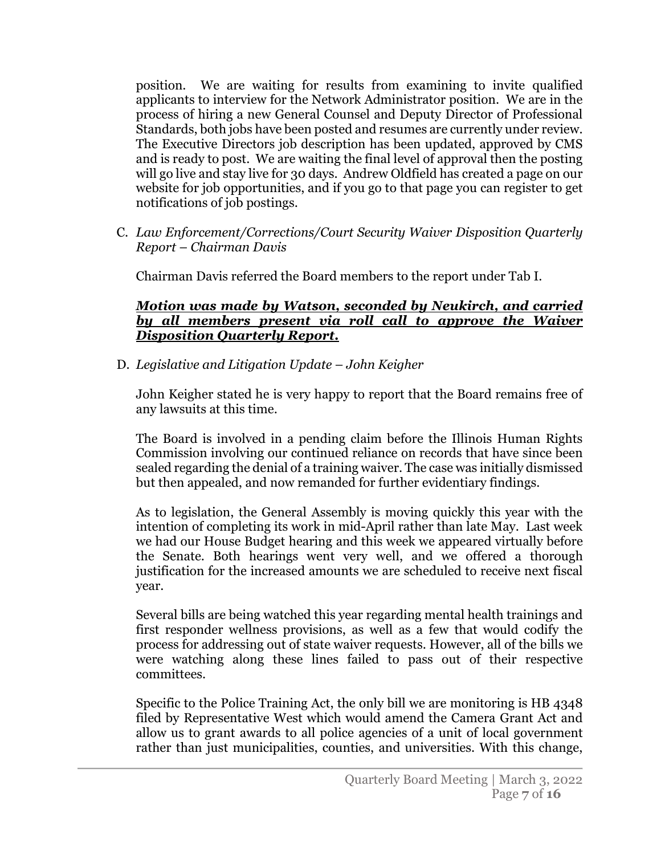position. We are waiting for results from examining to invite qualified applicants to interview for the Network Administrator position. We are in the process of hiring a new General Counsel and Deputy Director of Professional Standards, both jobs have been posted and resumes are currently under review. The Executive Directors job description has been updated, approved by CMS and is ready to post. We are waiting the final level of approval then the posting will go live and stay live for 30 days. Andrew Oldfield has created a page on our website for job opportunities, and if you go to that page you can register to get notifications of job postings.

C. *Law Enforcement/Corrections/Court Security Waiver Disposition Quarterly Report* – *Chairman Davis*

Chairman Davis referred the Board members to the report under Tab I.

#### *Motion was made by Watson, seconded by Neukirch, and carried by all members present via roll call to approve the Waiver Disposition Quarterly Report.*

D. *Legislative and Litigation Update* – *John Keigher*

John Keigher stated he is very happy to report that the Board remains free of any lawsuits at this time.

The Board is involved in a pending claim before the Illinois Human Rights Commission involving our continued reliance on records that have since been sealed regarding the denial of a training waiver. The case was initially dismissed but then appealed, and now remanded for further evidentiary findings.

As to legislation, the General Assembly is moving quickly this year with the intention of completing its work in mid-April rather than late May. Last week we had our House Budget hearing and this week we appeared virtually before the Senate. Both hearings went very well, and we offered a thorough justification for the increased amounts we are scheduled to receive next fiscal year.

Several bills are being watched this year regarding mental health trainings and first responder wellness provisions, as well as a few that would codify the process for addressing out of state waiver requests. However, all of the bills we were watching along these lines failed to pass out of their respective committees.

Specific to the Police Training Act, the only bill we are monitoring is HB 4348 filed by Representative West which would amend the Camera Grant Act and allow us to grant awards to all police agencies of a unit of local government rather than just municipalities, counties, and universities. With this change,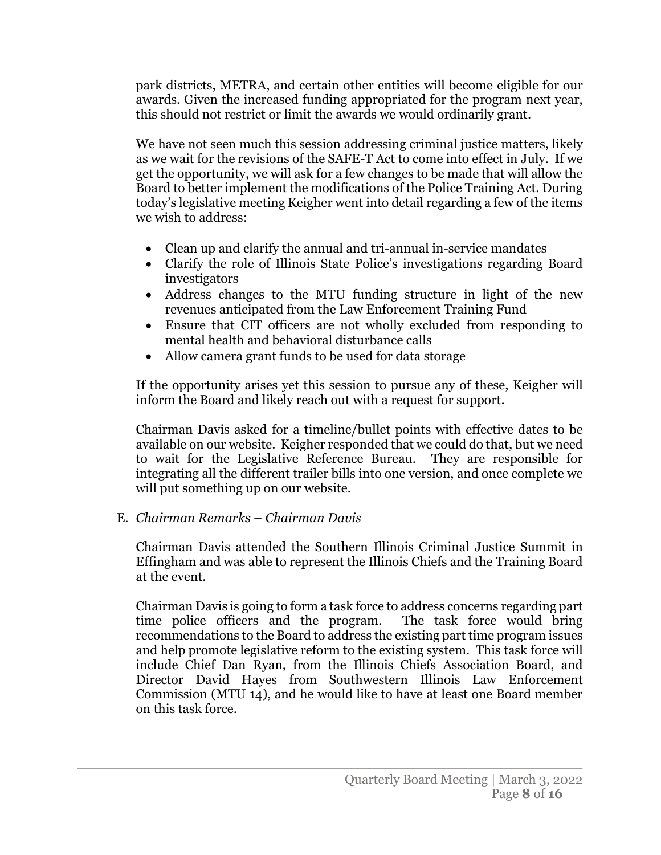park districts, METRA, and certain other entities will become eligible for our awards. Given the increased funding appropriated for the program next year, this should not restrict or limit the awards we would ordinarily grant.

We have not seen much this session addressing criminal justice matters, likely as we wait for the revisions of the SAFE-T Act to come into effect in July. If we get the opportunity, we will ask for a few changes to be made that will allow the Board to better implement the modifications of the Police Training Act. During today's legislative meeting Keigher went into detail regarding a few of the items we wish to address:

- Clean up and clarify the annual and tri-annual in-service mandates
- Clarify the role of Illinois State Police's investigations regarding Board investigators
- Address changes to the MTU funding structure in light of the new revenues anticipated from the Law Enforcement Training Fund
- Ensure that CIT officers are not wholly excluded from responding to mental health and behavioral disturbance calls
- Allow camera grant funds to be used for data storage

If the opportunity arises yet this session to pursue any of these, Keigher will inform the Board and likely reach out with a request for support.

Chairman Davis asked for a timeline/bullet points with effective dates to be available on our website. Keigher responded that we could do that, but we need to wait for the Legislative Reference Bureau. They are responsible for integrating all the different trailer bills into one version, and once complete we will put something up on our website.

# E. *Chairman Remarks* – *Chairman Davis*

Chairman Davis attended the Southern Illinois Criminal Justice Summit in Effingham and was able to represent the Illinois Chiefs and the Training Board at the event.

Chairman Davis is going to form a task force to address concerns regarding part time police officers and the program. The task force would bring recommendations to the Board to address the existing part time program issues and help promote legislative reform to the existing system. This task force will include Chief Dan Ryan, from the Illinois Chiefs Association Board, and Director David Hayes from Southwestern Illinois Law Enforcement Commission (MTU 14), and he would like to have at least one Board member on this task force.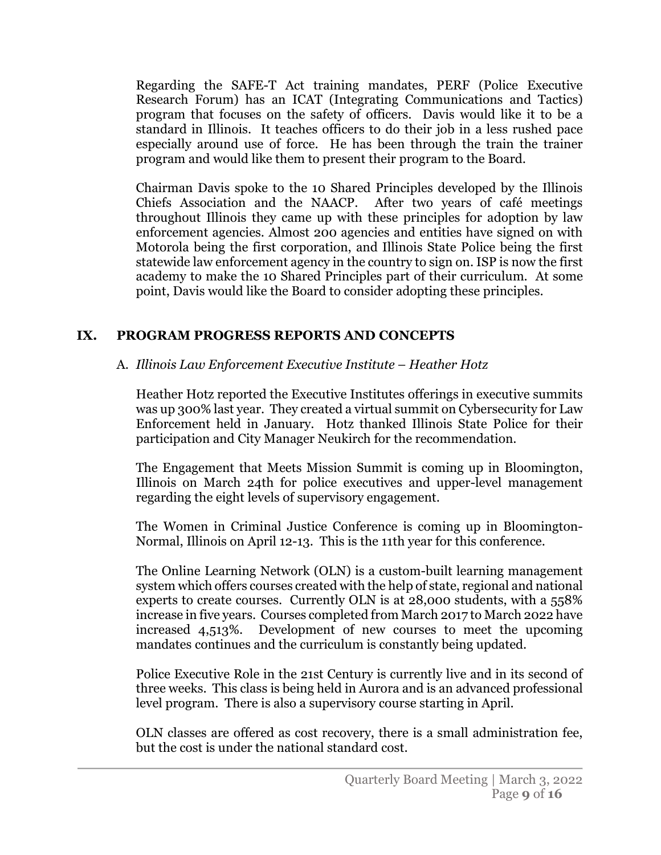Regarding the SAFE-T Act training mandates, PERF (Police Executive Research Forum) has an ICAT (Integrating Communications and Tactics) program that focuses on the safety of officers. Davis would like it to be a standard in Illinois. It teaches officers to do their job in a less rushed pace especially around use of force. He has been through the train the trainer program and would like them to present their program to the Board.

Chairman Davis spoke to the 10 Shared Principles developed by the Illinois Chiefs Association and the NAACP. After two years of café meetings throughout Illinois they came up with these principles for adoption by law enforcement agencies. Almost 200 agencies and entities have signed on with Motorola being the first corporation, and Illinois State Police being the first statewide law enforcement agency in the country to sign on. ISP is now the first academy to make the 10 Shared Principles part of their curriculum. At some point, Davis would like the Board to consider adopting these principles.

## **IX. PROGRAM PROGRESS REPORTS AND CONCEPTS**

## A. *Illinois Law Enforcement Executive Institute* – *Heather Hotz*

Heather Hotz reported the Executive Institutes offerings in executive summits was up 300% last year. They created a virtual summit on Cybersecurity for Law Enforcement held in January. Hotz thanked Illinois State Police for their participation and City Manager Neukirch for the recommendation.

The Engagement that Meets Mission Summit is coming up in Bloomington, Illinois on March 24th for police executives and upper-level management regarding the eight levels of supervisory engagement.

The Women in Criminal Justice Conference is coming up in Bloomington-Normal, Illinois on April 12-13. This is the 11th year for this conference.

The Online Learning Network (OLN) is a custom-built learning management system which offers courses created with the help of state, regional and national experts to create courses. Currently OLN is at 28,000 students, with a 558% increase in five years. Courses completed from March 2017 to March 2022 have increased 4,513%. Development of new courses to meet the upcoming mandates continues and the curriculum is constantly being updated.

Police Executive Role in the 21st Century is currently live and in its second of three weeks. This class is being held in Aurora and is an advanced professional level program. There is also a supervisory course starting in April.

OLN classes are offered as cost recovery, there is a small administration fee, but the cost is under the national standard cost.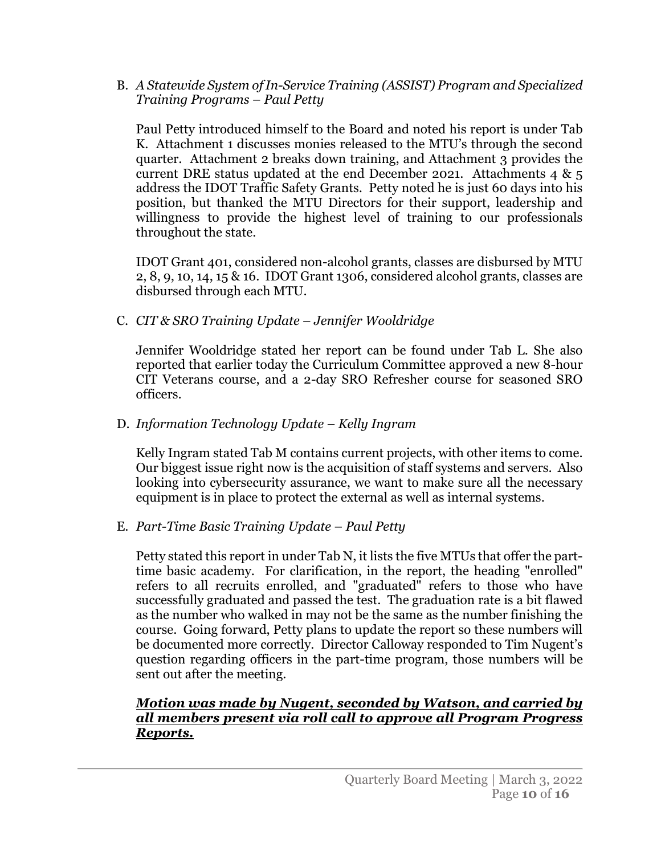B. *A Statewide System of In-Service Training (ASSIST) Program and Specialized Training Programs* – *Paul Petty*

Paul Petty introduced himself to the Board and noted his report is under Tab K. Attachment 1 discusses monies released to the MTU's through the second quarter. Attachment 2 breaks down training, and Attachment 3 provides the current DRE status updated at the end December 2021. Attachments 4  $\&$  5 address the IDOT Traffic Safety Grants. Petty noted he is just 60 days into his position, but thanked the MTU Directors for their support, leadership and willingness to provide the highest level of training to our professionals throughout the state.

IDOT Grant 401, considered non-alcohol grants, classes are disbursed by MTU 2, 8, 9, 10, 14, 15 & 16. IDOT Grant 1306, considered alcohol grants, classes are disbursed through each MTU.

C. *CIT & SRO Training Update* – *Jennifer Wooldridge*

Jennifer Wooldridge stated her report can be found under Tab L. She also reported that earlier today the Curriculum Committee approved a new 8-hour CIT Veterans course, and a 2-day SRO Refresher course for seasoned SRO officers.

D. *Information Technology Update* – *Kelly Ingram*

Kelly Ingram stated Tab M contains current projects, with other items to come. Our biggest issue right now is the acquisition of staff systems and servers. Also looking into cybersecurity assurance, we want to make sure all the necessary equipment is in place to protect the external as well as internal systems.

## E. *Part-Time Basic Training Update* – *Paul Petty*

Petty stated this report in under Tab N, it lists the five MTUs that offer the parttime basic academy. For clarification, in the report, the heading "enrolled" refers to all recruits enrolled, and "graduated" refers to those who have successfully graduated and passed the test. The graduation rate is a bit flawed as the number who walked in may not be the same as the number finishing the course. Going forward, Petty plans to update the report so these numbers will be documented more correctly. Director Calloway responded to Tim Nugent's question regarding officers in the part-time program, those numbers will be sent out after the meeting.

## *Motion was made by Nugent, seconded by Watson, and carried by all members present via roll call to approve all Program Progress Reports.*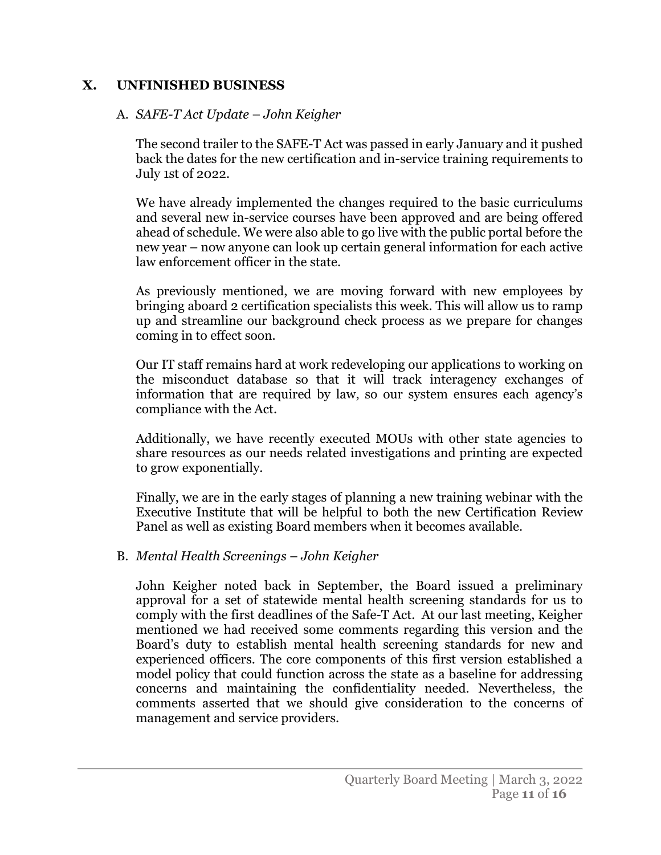#### **X. UNFINISHED BUSINESS**

#### A. *SAFE-T Act Update* – *John Keigher*

The second trailer to the SAFE-T Act was passed in early January and it pushed back the dates for the new certification and in-service training requirements to July 1st of 2022.

We have already implemented the changes required to the basic curriculums and several new in-service courses have been approved and are being offered ahead of schedule. We were also able to go live with the public portal before the new year – now anyone can look up certain general information for each active law enforcement officer in the state.

As previously mentioned, we are moving forward with new employees by bringing aboard 2 certification specialists this week. This will allow us to ramp up and streamline our background check process as we prepare for changes coming in to effect soon.

Our IT staff remains hard at work redeveloping our applications to working on the misconduct database so that it will track interagency exchanges of information that are required by law, so our system ensures each agency's compliance with the Act.

Additionally, we have recently executed MOUs with other state agencies to share resources as our needs related investigations and printing are expected to grow exponentially.

Finally, we are in the early stages of planning a new training webinar with the Executive Institute that will be helpful to both the new Certification Review Panel as well as existing Board members when it becomes available.

#### B. *Mental Health Screenings* – *John Keigher*

John Keigher noted back in September, the Board issued a preliminary approval for a set of statewide mental health screening standards for us to comply with the first deadlines of the Safe-T Act. At our last meeting, Keigher mentioned we had received some comments regarding this version and the Board's duty to establish mental health screening standards for new and experienced officers. The core components of this first version established a model policy that could function across the state as a baseline for addressing concerns and maintaining the confidentiality needed. Nevertheless, the comments asserted that we should give consideration to the concerns of management and service providers.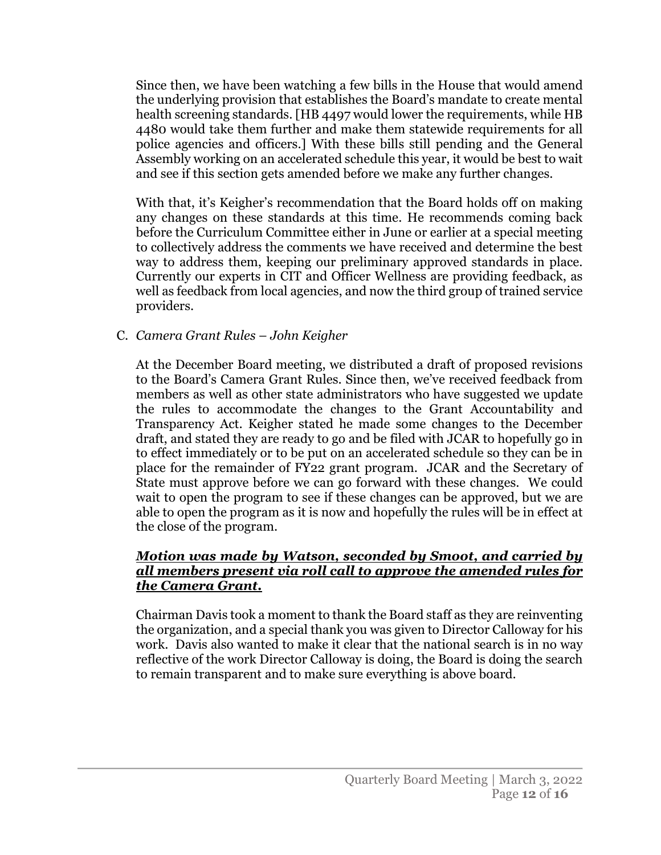Since then, we have been watching a few bills in the House that would amend the underlying provision that establishes the Board's mandate to create mental health screening standards. [HB 4497 would lower the requirements, while HB 4480 would take them further and make them statewide requirements for all police agencies and officers.] With these bills still pending and the General Assembly working on an accelerated schedule this year, it would be best to wait and see if this section gets amended before we make any further changes.

With that, it's Keigher's recommendation that the Board holds off on making any changes on these standards at this time. He recommends coming back before the Curriculum Committee either in June or earlier at a special meeting to collectively address the comments we have received and determine the best way to address them, keeping our preliminary approved standards in place. Currently our experts in CIT and Officer Wellness are providing feedback, as well as feedback from local agencies, and now the third group of trained service providers.

#### C. *Camera Grant Rules* – *John Keigher*

At the December Board meeting, we distributed a draft of proposed revisions to the Board's Camera Grant Rules. Since then, we've received feedback from members as well as other state administrators who have suggested we update the rules to accommodate the changes to the Grant Accountability and Transparency Act. Keigher stated he made some changes to the December draft, and stated they are ready to go and be filed with JCAR to hopefully go in to effect immediately or to be put on an accelerated schedule so they can be in place for the remainder of FY22 grant program. JCAR and the Secretary of State must approve before we can go forward with these changes. We could wait to open the program to see if these changes can be approved, but we are able to open the program as it is now and hopefully the rules will be in effect at the close of the program.

## *Motion was made by Watson, seconded by Smoot, and carried by all members present via roll call to approve the amended rules for the Camera Grant.*

Chairman Davis took a moment to thank the Board staff as they are reinventing the organization, and a special thank you was given to Director Calloway for his work. Davis also wanted to make it clear that the national search is in no way reflective of the work Director Calloway is doing, the Board is doing the search to remain transparent and to make sure everything is above board.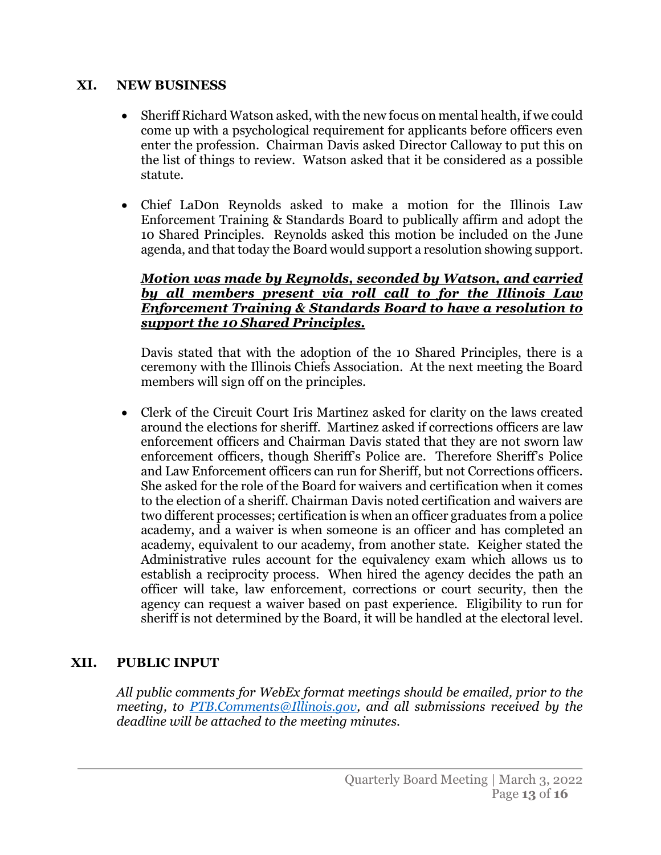#### **XI. NEW BUSINESS**

- Sheriff Richard Watson asked, with the new focus on mental health, if we could come up with a psychological requirement for applicants before officers even enter the profession. Chairman Davis asked Director Calloway to put this on the list of things to review. Watson asked that it be considered as a possible statute.
- Chief LaD0n Reynolds asked to make a motion for the Illinois Law Enforcement Training & Standards Board to publically affirm and adopt the 10 Shared Principles. Reynolds asked this motion be included on the June agenda, and that today the Board would support a resolution showing support.

#### *Motion was made by Reynolds, seconded by Watson, and carried by all members present via roll call to for the Illinois Law Enforcement Training & Standards Board to have a resolution to support the 10 Shared Principles.*

Davis stated that with the adoption of the 10 Shared Principles, there is a ceremony with the Illinois Chiefs Association. At the next meeting the Board members will sign off on the principles.

• Clerk of the Circuit Court Iris Martinez asked for clarity on the laws created around the elections for sheriff. Martinez asked if corrections officers are law enforcement officers and Chairman Davis stated that they are not sworn law enforcement officers, though Sheriff's Police are. Therefore Sheriff's Police and Law Enforcement officers can run for Sheriff, but not Corrections officers. She asked for the role of the Board for waivers and certification when it comes to the election of a sheriff. Chairman Davis noted certification and waivers are two different processes; certification is when an officer graduates from a police academy, and a waiver is when someone is an officer and has completed an academy, equivalent to our academy, from another state. Keigher stated the Administrative rules account for the equivalency exam which allows us to establish a reciprocity process. When hired the agency decides the path an officer will take, law enforcement, corrections or court security, then the agency can request a waiver based on past experience. Eligibility to run for sheriff is not determined by the Board, it will be handled at the electoral level.

## **XII. PUBLIC INPUT**

*All public comments for WebEx format meetings should be emailed, prior to the meeting, to [PTB.Comments@Illinois.gov,](mailto:PTB.Comments@Illinois.gov) and all submissions received by the deadline will be attached to the meeting minutes.*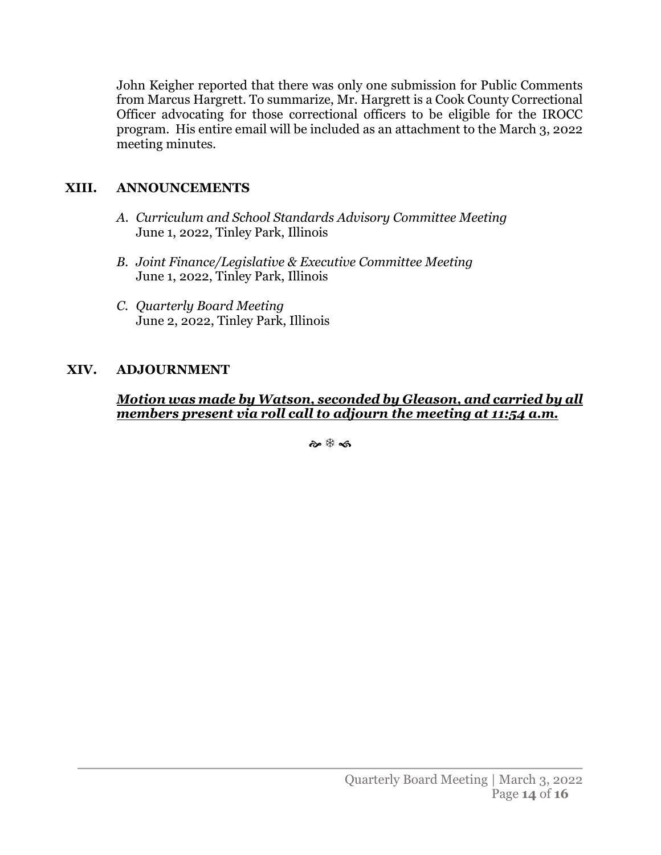John Keigher reported that there was only one submission for Public Comments from Marcus Hargrett. To summarize, Mr. Hargrett is a Cook County Correctional Officer advocating for those correctional officers to be eligible for the IROCC program. His entire email will be included as an attachment to the March 3, 2022 meeting minutes.

## **XIII. ANNOUNCEMENTS**

- *A. Curriculum and School Standards Advisory Committee Meeting* June 1, 2022, Tinley Park, Illinois
- *B. Joint Finance/Legislative & Executive Committee Meeting* June 1, 2022, Tinley Park, Illinois
- *C. Quarterly Board Meeting* June 2, 2022, Tinley Park, Illinois

# **XIV. ADJOURNMENT**

*Motion was made by Watson, seconded by Gleason, and carried by all members present via roll call to adjourn the meeting at 11:54 a.m.*

๛฿๘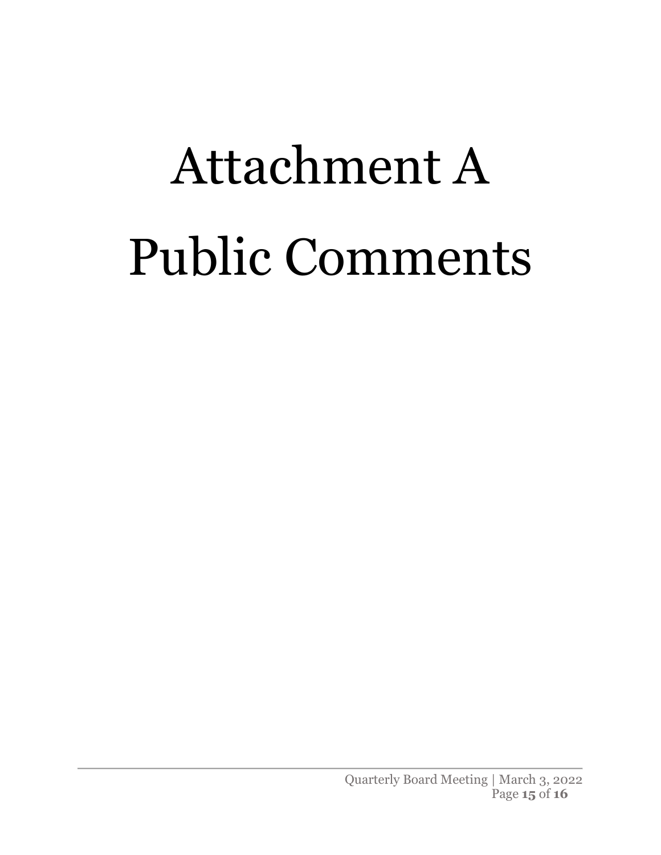# Attachment A Public Comments